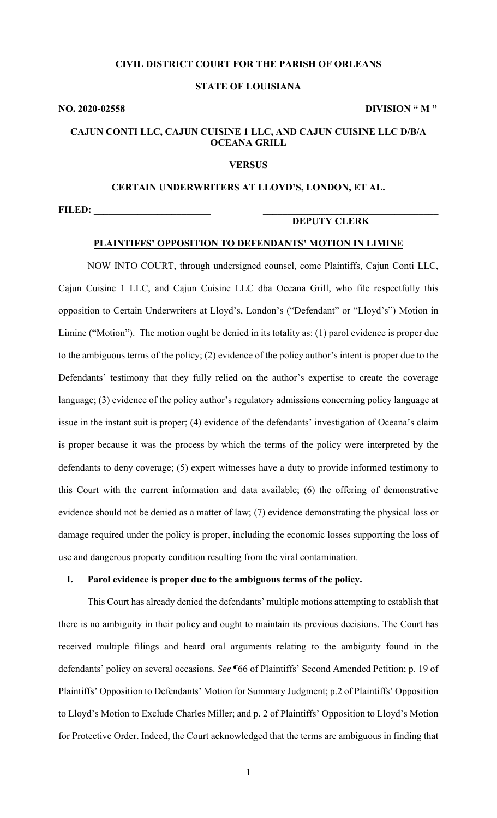## **CIVIL DISTRICT COURT FOR THE PARISH OF ORLEANS**

## **STATE OF LOUISIANA**

**NO. 2020-02558 DIVISION " M "** 

# **CAJUN CONTI LLC, CAJUN CUISINE 1 LLC, AND CAJUN CUISINE LLC D/B/A OCEANA GRILL**

### **VERSUS**

### **CERTAIN UNDERWRITERS AT LLOYD'S, LONDON, ET AL.**

**FILED: \_\_\_\_\_\_\_\_\_\_\_\_\_\_\_\_\_\_\_\_\_\_\_\_ \_\_\_\_\_\_\_\_\_\_\_\_\_\_\_\_\_\_\_\_\_\_\_\_\_\_\_\_\_\_\_\_\_\_\_\_** 

## **DEPUTY CLERK**

# **PLAINTIFFS' OPPOSITION TO DEFENDANTS' MOTION IN LIMINE**

NOW INTO COURT, through undersigned counsel, come Plaintiffs, Cajun Conti LLC, Cajun Cuisine 1 LLC, and Cajun Cuisine LLC dba Oceana Grill, who file respectfully this opposition to Certain Underwriters at Lloyd's, London's ("Defendant" or "Lloyd's") Motion in Limine ("Motion"). The motion ought be denied in its totality as: (1) parol evidence is proper due to the ambiguous terms of the policy; (2) evidence of the policy author's intent is proper due to the Defendants' testimony that they fully relied on the author's expertise to create the coverage language; (3) evidence of the policy author's regulatory admissions concerning policy language at issue in the instant suit is proper; (4) evidence of the defendants' investigation of Oceana's claim is proper because it was the process by which the terms of the policy were interpreted by the defendants to deny coverage; (5) expert witnesses have a duty to provide informed testimony to this Court with the current information and data available; (6) the offering of demonstrative evidence should not be denied as a matter of law; (7) evidence demonstrating the physical loss or damage required under the policy is proper, including the economic losses supporting the loss of use and dangerous property condition resulting from the viral contamination.

#### **I. Parol evidence is proper due to the ambiguous terms of the policy.**

This Court has already denied the defendants' multiple motions attempting to establish that there is no ambiguity in their policy and ought to maintain its previous decisions. The Court has received multiple filings and heard oral arguments relating to the ambiguity found in the defendants' policy on several occasions. *See* ¶66 of Plaintiffs' Second Amended Petition; p. 19 of Plaintiffs' Opposition to Defendants' Motion for Summary Judgment; p.2 of Plaintiffs' Opposition to Lloyd's Motion to Exclude Charles Miller; and p. 2 of Plaintiffs' Opposition to Lloyd's Motion for Protective Order. Indeed, the Court acknowledged that the terms are ambiguous in finding that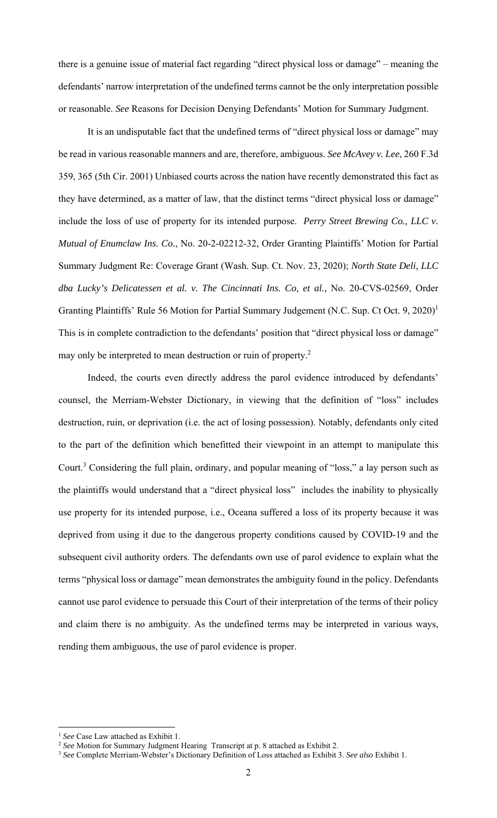there is a genuine issue of material fact regarding "direct physical loss or damage" – meaning the defendants' narrow interpretation of the undefined terms cannot be the only interpretation possible or reasonable. *See* Reasons for Decision Denying Defendants' Motion for Summary Judgment.

It is an undisputable fact that the undefined terms of "direct physical loss or damage" may be read in various reasonable manners and are, therefore, ambiguous. *See McAvey v. Lee*, 260 F.3d 359, 365 (5th Cir. 2001) Unbiased courts across the nation have recently demonstrated this fact as they have determined, as a matter of law, that the distinct terms "direct physical loss or damage" include the loss of use of property for its intended purpose. *Perry Street Brewing Co., LLC v. Mutual of Enumclaw Ins. Co.*, No. 20-2-02212-32, Order Granting Plaintiffs' Motion for Partial Summary Judgment Re: Coverage Grant (Wash. Sup. Ct. Nov. 23, 2020); *North State Deli, LLC dba Lucky's Delicatessen et al. v. The Cincinnati Ins. Co, et al.,* No. 20-CVS-02569, Order Granting Plaintiffs' Rule 56 Motion for Partial Summary Judgement (N.C. Sup. Ct Oct. 9, 2020)<sup>1</sup> This is in complete contradiction to the defendants' position that "direct physical loss or damage" may only be interpreted to mean destruction or ruin of property.<sup>2</sup>

Indeed, the courts even directly address the parol evidence introduced by defendants' counsel, the Merriam-Webster Dictionary, in viewing that the definition of "loss" includes destruction, ruin, or deprivation (i.e. the act of losing possession). Notably, defendants only cited to the part of the definition which benefitted their viewpoint in an attempt to manipulate this Court.<sup>3</sup> Considering the full plain, ordinary, and popular meaning of "loss," a lay person such as the plaintiffs would understand that a "direct physical loss" includes the inability to physically use property for its intended purpose, i.e., Oceana suffered a loss of its property because it was deprived from using it due to the dangerous property conditions caused by COVID-19 and the subsequent civil authority orders. The defendants own use of parol evidence to explain what the terms "physical loss or damage" mean demonstrates the ambiguity found in the policy. Defendants cannot use parol evidence to persuade this Court of their interpretation of the terms of their policy and claim there is no ambiguity. As the undefined terms may be interpreted in various ways, rending them ambiguous, the use of parol evidence is proper.

<sup>&</sup>lt;sup>1</sup> See Case Law attached as Exhibit 1.<br><sup>2</sup> See Motion for Summary Judgment Hearing Transcript at p. 8 attached as Exhibit 2.

<sup>3</sup> *See* Complete Merriam-Webster's Dictionary Definition of Loss attached as Exhibit 3. *See also* Exhibit 1.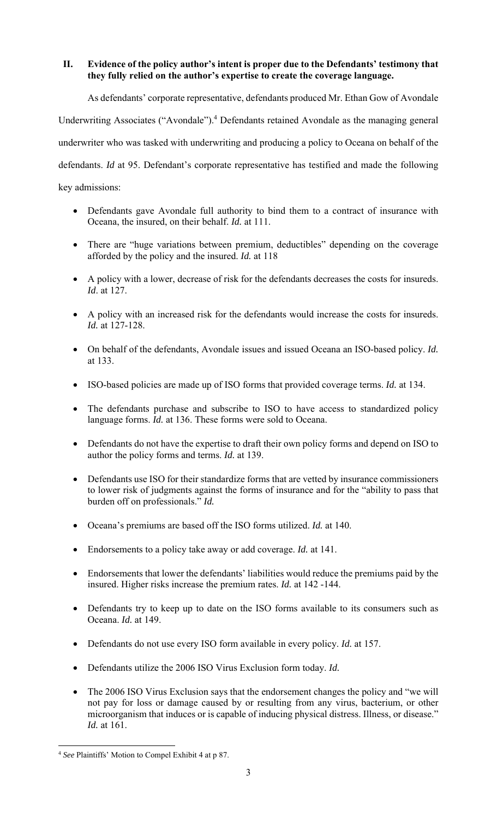# **II. Evidence of the policy author's intent is proper due to the Defendants' testimony that they fully relied on the author's expertise to create the coverage language.**

As defendants' corporate representative, defendants produced Mr. Ethan Gow of Avondale Underwriting Associates ("Avondale").<sup>4</sup> Defendants retained Avondale as the managing general underwriter who was tasked with underwriting and producing a policy to Oceana on behalf of the defendants. *Id* at 95. Defendant's corporate representative has testified and made the following key admissions:

- Defendants gave Avondale full authority to bind them to a contract of insurance with Oceana, the insured, on their behalf. *Id.* at 111.
- There are "huge variations between premium, deductibles" depending on the coverage afforded by the policy and the insured. *Id.* at 118
- A policy with a lower, decrease of risk for the defendants decreases the costs for insureds. *Id*. at 127.
- A policy with an increased risk for the defendants would increase the costs for insureds. *Id.* at 127-128.
- On behalf of the defendants, Avondale issues and issued Oceana an ISO-based policy. *Id.*  at 133.
- ISO-based policies are made up of ISO forms that provided coverage terms. *Id.* at 134.
- The defendants purchase and subscribe to ISO to have access to standardized policy language forms. *Id.* at 136. These forms were sold to Oceana.
- Defendants do not have the expertise to draft their own policy forms and depend on ISO to author the policy forms and terms. *Id.* at 139.
- Defendants use ISO for their standardize forms that are vetted by insurance commissioners to lower risk of judgments against the forms of insurance and for the "ability to pass that burden off on professionals." *Id.*
- Oceana's premiums are based off the ISO forms utilized. *Id.* at 140.
- Endorsements to a policy take away or add coverage. *Id.* at 141.
- Endorsements that lower the defendants' liabilities would reduce the premiums paid by the insured. Higher risks increase the premium rates. *Id.* at 142 -144.
- Defendants try to keep up to date on the ISO forms available to its consumers such as Oceana. *Id.* at 149.
- Defendants do not use every ISO form available in every policy. *Id.* at 157.
- Defendants utilize the 2006 ISO Virus Exclusion form today. *Id.*
- The 2006 ISO Virus Exclusion says that the endorsement changes the policy and "we will not pay for loss or damage caused by or resulting from any virus, bacterium, or other microorganism that induces or is capable of inducing physical distress. Illness, or disease." *Id.* at 161.

<sup>4</sup> *See* Plaintiffs' Motion to Compel Exhibit 4 at p 87.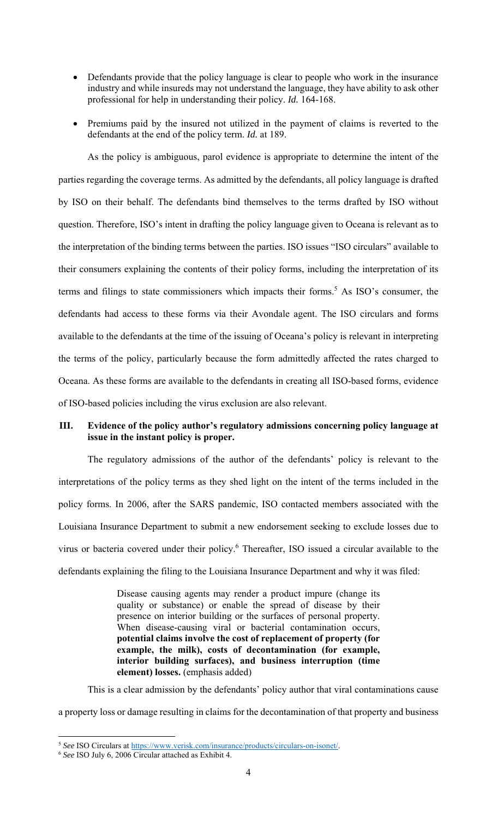- Defendants provide that the policy language is clear to people who work in the insurance industry and while insureds may not understand the language, they have ability to ask other professional for help in understanding their policy. *Id.* 164-168.
- Premiums paid by the insured not utilized in the payment of claims is reverted to the defendants at the end of the policy term. *Id.* at 189.

As the policy is ambiguous, parol evidence is appropriate to determine the intent of the parties regarding the coverage terms. As admitted by the defendants, all policy language is drafted by ISO on their behalf. The defendants bind themselves to the terms drafted by ISO without question. Therefore, ISO's intent in drafting the policy language given to Oceana is relevant as to the interpretation of the binding terms between the parties. ISO issues "ISO circulars" available to their consumers explaining the contents of their policy forms, including the interpretation of its terms and filings to state commissioners which impacts their forms.<sup>5</sup> As ISO's consumer, the defendants had access to these forms via their Avondale agent. The ISO circulars and forms available to the defendants at the time of the issuing of Oceana's policy is relevant in interpreting the terms of the policy, particularly because the form admittedly affected the rates charged to Oceana. As these forms are available to the defendants in creating all ISO-based forms, evidence of ISO-based policies including the virus exclusion are also relevant.

# **III. Evidence of the policy author's regulatory admissions concerning policy language at issue in the instant policy is proper.**

The regulatory admissions of the author of the defendants' policy is relevant to the interpretations of the policy terms as they shed light on the intent of the terms included in the policy forms. In 2006, after the SARS pandemic, ISO contacted members associated with the Louisiana Insurance Department to submit a new endorsement seeking to exclude losses due to virus or bacteria covered under their policy.<sup>6</sup> Thereafter, ISO issued a circular available to the defendants explaining the filing to the Louisiana Insurance Department and why it was filed:

> Disease causing agents may render a product impure (change its quality or substance) or enable the spread of disease by their presence on interior building or the surfaces of personal property. When disease-causing viral or bacterial contamination occurs, **potential claims involve the cost of replacement of property (for example, the milk), costs of decontamination (for example, interior building surfaces), and business interruption (time element) losses.** (emphasis added)

 This is a clear admission by the defendants' policy author that viral contaminations cause a property loss or damage resulting in claims for the decontamination of that property and business

<sup>5</sup> *See* ISO Circulars at https://www.verisk.com/insurance/products/circulars-on-isonet/. 6 *See* ISO July 6, 2006 Circular attached as Exhibit 4.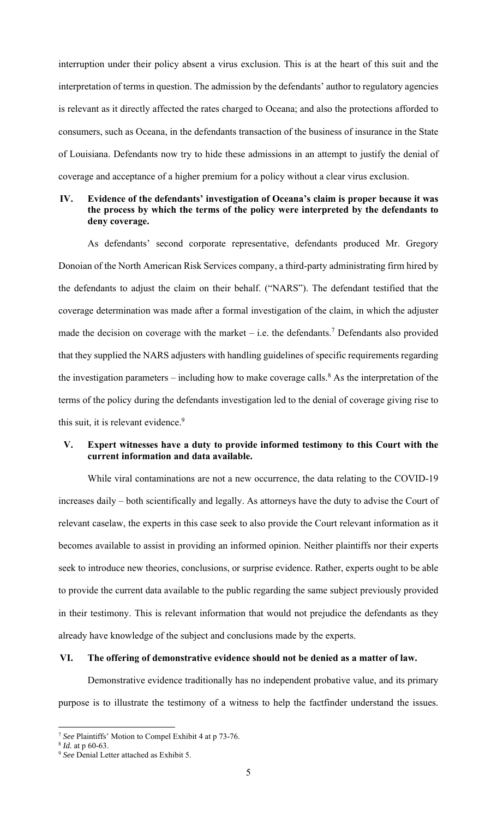interruption under their policy absent a virus exclusion. This is at the heart of this suit and the interpretation of terms in question. The admission by the defendants' author to regulatory agencies is relevant as it directly affected the rates charged to Oceana; and also the protections afforded to consumers, such as Oceana, in the defendants transaction of the business of insurance in the State of Louisiana. Defendants now try to hide these admissions in an attempt to justify the denial of coverage and acceptance of a higher premium for a policy without a clear virus exclusion.

# **IV. Evidence of the defendants' investigation of Oceana's claim is proper because it was the process by which the terms of the policy were interpreted by the defendants to deny coverage.**

As defendants' second corporate representative, defendants produced Mr. Gregory Donoian of the North American Risk Services company, a third-party administrating firm hired by the defendants to adjust the claim on their behalf. ("NARS"). The defendant testified that the coverage determination was made after a formal investigation of the claim, in which the adjuster made the decision on coverage with the market  $-$  i.e. the defendants.<sup>7</sup> Defendants also provided that they supplied the NARS adjusters with handling guidelines of specific requirements regarding the investigation parameters – including how to make coverage calls.<sup>8</sup> As the interpretation of the terms of the policy during the defendants investigation led to the denial of coverage giving rise to this suit, it is relevant evidence. $9$ 

# **V. Expert witnesses have a duty to provide informed testimony to this Court with the current information and data available.**

While viral contaminations are not a new occurrence, the data relating to the COVID-19 increases daily – both scientifically and legally. As attorneys have the duty to advise the Court of relevant caselaw, the experts in this case seek to also provide the Court relevant information as it becomes available to assist in providing an informed opinion. Neither plaintiffs nor their experts seek to introduce new theories, conclusions, or surprise evidence. Rather, experts ought to be able to provide the current data available to the public regarding the same subject previously provided in their testimony. This is relevant information that would not prejudice the defendants as they already have knowledge of the subject and conclusions made by the experts.

### **VI. The offering of demonstrative evidence should not be denied as a matter of law.**

Demonstrative evidence traditionally has no independent probative value, and its primary purpose is to illustrate the testimony of a witness to help the factfinder understand the issues.

<sup>7</sup> *See* Plaintiffs' Motion to Compel Exhibit 4 at p 73-76.

<sup>8</sup> *Id.* at p 60-63.

<sup>9</sup> *See* Denial Letter attached as Exhibit 5.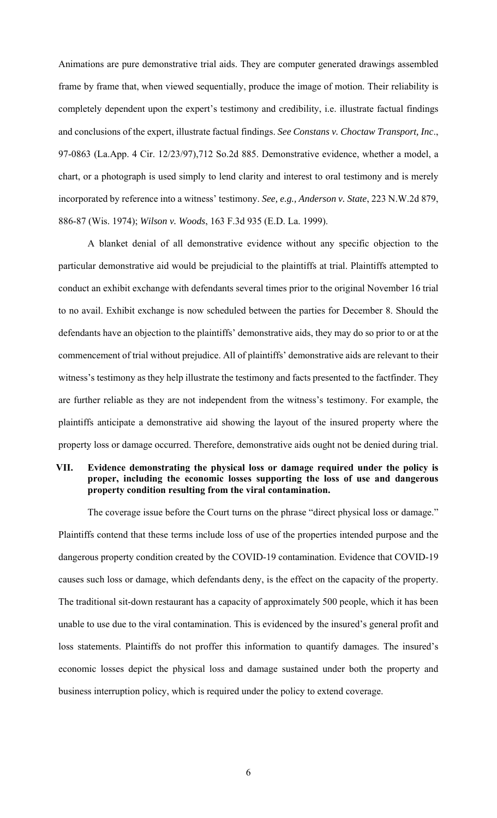Animations are pure demonstrative trial aids. They are computer generated drawings assembled frame by frame that, when viewed sequentially, produce the image of motion. Their reliability is completely dependent upon the expert's testimony and credibility, i.e. illustrate factual findings and conclusions of the expert, illustrate factual findings. *See Constans v. Choctaw Transport, Inc*., 97-0863 (La.App. 4 Cir. 12/23/97),712 So.2d 885. Demonstrative evidence, whether a model, a chart, or a photograph is used simply to lend clarity and interest to oral testimony and is merely incorporated by reference into a witness' testimony. *See, e.g., Anderson v. State*, 223 N.W.2d 879, 886-87 (Wis. 1974); *Wilson v. Woods*, 163 F.3d 935 (E.D. La. 1999).

A blanket denial of all demonstrative evidence without any specific objection to the particular demonstrative aid would be prejudicial to the plaintiffs at trial. Plaintiffs attempted to conduct an exhibit exchange with defendants several times prior to the original November 16 trial to no avail. Exhibit exchange is now scheduled between the parties for December 8. Should the defendants have an objection to the plaintiffs' demonstrative aids, they may do so prior to or at the commencement of trial without prejudice. All of plaintiffs' demonstrative aids are relevant to their witness's testimony as they help illustrate the testimony and facts presented to the factfinder. They are further reliable as they are not independent from the witness's testimony. For example, the plaintiffs anticipate a demonstrative aid showing the layout of the insured property where the property loss or damage occurred. Therefore, demonstrative aids ought not be denied during trial.

# **VII. Evidence demonstrating the physical loss or damage required under the policy is proper, including the economic losses supporting the loss of use and dangerous property condition resulting from the viral contamination.**

The coverage issue before the Court turns on the phrase "direct physical loss or damage." Plaintiffs contend that these terms include loss of use of the properties intended purpose and the dangerous property condition created by the COVID-19 contamination. Evidence that COVID-19 causes such loss or damage, which defendants deny, is the effect on the capacity of the property. The traditional sit-down restaurant has a capacity of approximately 500 people, which it has been unable to use due to the viral contamination. This is evidenced by the insured's general profit and loss statements. Plaintiffs do not proffer this information to quantify damages. The insured's economic losses depict the physical loss and damage sustained under both the property and business interruption policy, which is required under the policy to extend coverage.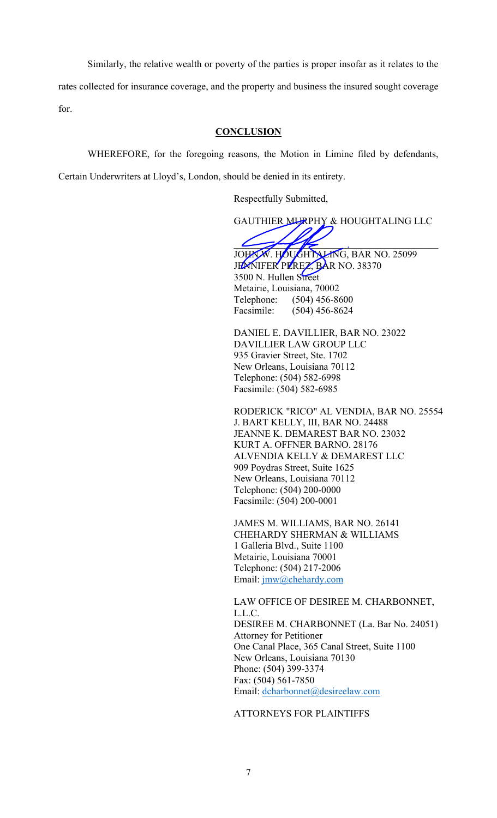Similarly, the relative wealth or poverty of the parties is proper insofar as it relates to the

rates collected for insurance coverage, and the property and business the insured sought coverage for.

## **CONCLUSION**

 WHEREFORE, for the foregoing reasons, the Motion in Limine filed by defendants, Certain Underwriters at Lloyd's, London, should be denied in its entirety.

Respectfully Submitted,

GAUTHIER MURPHY & HOUGHTALING LLC

\_\_\_\_\_\_\_\_\_\_\_\_\_\_\_\_\_\_\_\_\_\_\_\_\_\_\_\_\_\_\_\_\_\_\_\_\_\_\_\_\_\_ JOHN W. HOUGHTALING, BAR NO. 25099 JENNIFER PLREZ, BAR NO. 38370 3500 N. Hullen Street Metairie, Louisiana, 70002 Telephone: (504) 456-8600 Facsimile: (504) 456-8624

DANIEL E. DAVILLIER, BAR NO. 23022 DAVILLIER LAW GROUP LLC 935 Gravier Street, Ste. 1702 New Orleans, Louisiana 70112 Telephone: (504) 582-6998 Facsimile: (504) 582-6985

RODERICK "RICO" AL VENDIA, BAR NO. 25554 J. BART KELLY, III, BAR NO. 24488 JEANNE K. DEMAREST BAR NO. 23032 KURT A. OFFNER BARNO. 28176 ALVENDIA KELLY & DEMAREST LLC 909 Poydras Street, Suite 1625 New Orleans, Louisiana 70112 Telephone: (504) 200-0000 Facsimile: (504) 200-0001

JAMES M. WILLIAMS, BAR NO. 26141 CHEHARDY SHERMAN & WILLIAMS 1 Galleria Blvd., Suite 1100 Metairie, Louisiana 70001 Telephone: (504) 217-2006 Email: jmw@chehardy.com

LAW OFFICE OF DESIREE M. CHARBONNET, L.L.C. DESIREE M. CHARBONNET (La. Bar No. 24051) Attorney for Petitioner One Canal Place, 365 Canal Street, Suite 1100 New Orleans, Louisiana 70130 Phone: (504) 399-3374 Fax: (504) 561-7850 Email: dcharbonnet@desireelaw.com

ATTORNEYS FOR PLAINTIFFS